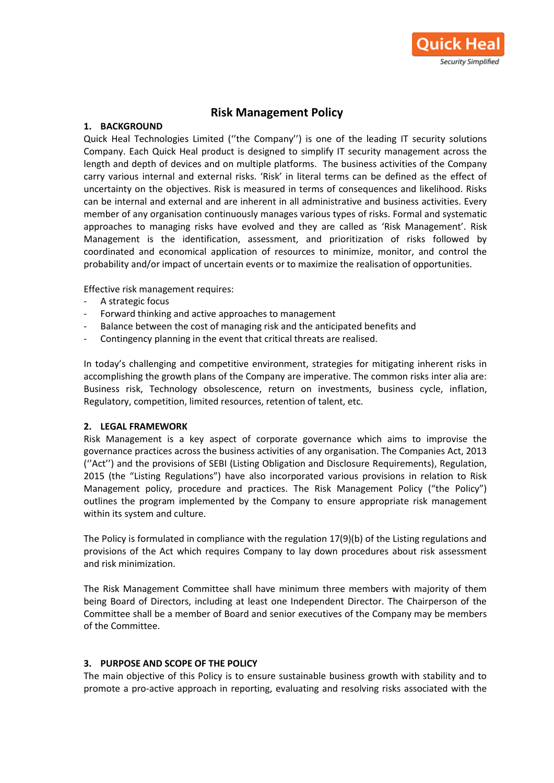

# **Risk Management Policy**

# **1. BACKGROUND**

Quick Heal Technologies Limited (''the Company'') is one of the leading IT security solutions Company. Each Quick Heal product is designed to simplify IT security management across the length and depth of devices and on multiple platforms. The business activities of the Company carry various internal and external risks. 'Risk' in literal terms can be defined as the effect of uncertainty on the objectives. Risk is measured in terms of consequences and likelihood. Risks can be internal and external and are inherent in all administrative and business activities. Every member of any organisation continuously manages various types of risks. Formal and systematic approaches to managing risks have evolved and they are called as 'Risk Management'. Risk Management is the identification, assessment, and prioritization of risks followed by coordinated and economical application of resources to minimize, monitor, and control the probability and/or impact of uncertain events or to maximize the realisation of opportunities.

Effective risk management requires:

- A strategic focus
- Forward thinking and active approaches to management
- Balance between the cost of managing risk and the anticipated benefits and
- Contingency planning in the event that critical threats are realised.

In today's challenging and competitive environment, strategies for mitigating inherent risks in accomplishing the growth plans of the Company are imperative. The common risks inter alia are: Business risk, Technology obsolescence, return on investments, business cycle, inflation, Regulatory, competition, limited resources, retention of talent, etc.

#### **2. LEGAL FRAMEWORK**

Risk Management is a key aspect of corporate governance which aims to improvise the governance practices across the business activities of any organisation. The Companies Act, 2013 (''Act'') and the provisions of SEBI (Listing Obligation and Disclosure Requirements), Regulation, 2015 (the "Listing Regulations") have also incorporated various provisions in relation to Risk Management policy, procedure and practices. The Risk Management Policy ("the Policy") outlines the program implemented by the Company to ensure appropriate risk management within its system and culture.

The Policy is formulated in compliance with the regulation 17(9)(b) of the Listing regulations and provisions of the Act which requires Company to lay down procedures about risk assessment and risk minimization.

The Risk Management Committee shall have minimum three members with majority of them being Board of Directors, including at least one Independent Director. The Chairperson of the Committee shall be a member of Board and senior executives of the Company may be members of the Committee.

# **3. PURPOSE AND SCOPE OF THE POLICY**

The main objective of this Policy is to ensure sustainable business growth with stability and to promote a pro-active approach in reporting, evaluating and resolving risks associated with the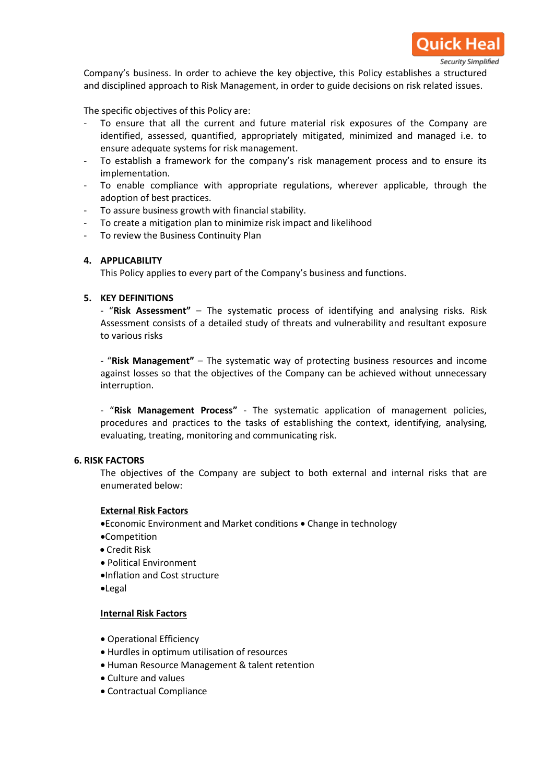

Company's business. In order to achieve the key objective, this Policy establishes a structured and disciplined approach to Risk Management, in order to guide decisions on risk related issues.

The specific objectives of this Policy are:

- To ensure that all the current and future material risk exposures of the Company are identified, assessed, quantified, appropriately mitigated, minimized and managed i.e. to ensure adequate systems for risk management.
- To establish a framework for the company's risk management process and to ensure its implementation.
- To enable compliance with appropriate regulations, wherever applicable, through the adoption of best practices.
- To assure business growth with financial stability.
- To create a mitigation plan to minimize risk impact and likelihood
- To review the Business Continuity Plan

# **4. APPLICABILITY**

This Policy applies to every part of the Company's business and functions[.](http://www.jyoti.com/pdf/risk_management_policy.pdf#page=4)

#### **5. KEY DEFINITIONS**

- "**Risk Assessment"** – The systematic process of identifying and analysing risks. Risk Assessment consists of a detailed study of threats and vulnerability and resultant exposure to various risks

- "**Risk Management"** – The systematic way of protecting business resources and income against losses so that the objectives of the Company can be achieved without unnecessary interruption.

- "**Risk Management Process"** - The systematic application of management policies, procedures and practices to the tasks of establishing the context, identifying, analysing, evaluating, treating, monitoring and communicating risk.

#### **6. RISK FACTORS**

The objectives of the Company are subject to both external and internal risks that are enumerated below:

#### **External Risk Factors**

- Economic Environment and Market conditions Change in technology
- Competition
- Credit Risk
- Political Environment
- Inflation and Cost structure
- Legal

#### **Internal Risk Factors**

- Operational Efficiency
- Hurdles in optimum utilisation of resources
- Human Resource Management & talent retention
- Culture and values
- Contractual Compliance